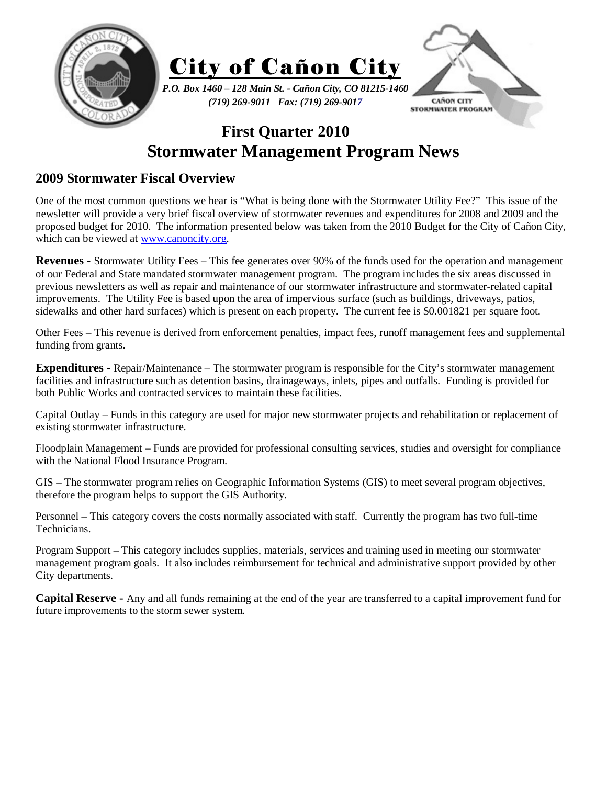

## **First Quarter 2010 Stormwater Management Program News**

## **2009 Stormwater Fiscal Overview**

One of the most common questions we hear is "What is being done with the Stormwater Utility Fee?" This issue of the newsletter will provide a very brief fiscal overview of stormwater revenues and expenditures for 2008 and 2009 and the proposed budget for 2010. The information presented below was taken from the 2010 Budget for the City of Cañon City, which can be viewed at www.canoncity.org.

**Revenues -** Stormwater Utility Fees – This fee generates over 90% of the funds used for the operation and management of our Federal and State mandated stormwater management program. The program includes the six areas discussed in previous newsletters as well as repair and maintenance of our stormwater infrastructure and stormwater-related capital improvements. The Utility Fee is based upon the area of impervious surface (such as buildings, driveways, patios, sidewalks and other hard surfaces) which is present on each property. The current fee is \$0.001821 per square foot.

Other Fees – This revenue is derived from enforcement penalties, impact fees, runoff management fees and supplemental funding from grants.

**Expenditures -** Repair/Maintenance – The stormwater program is responsible for the City's stormwater management facilities and infrastructure such as detention basins, drainageways, inlets, pipes and outfalls. Funding is provided for both Public Works and contracted services to maintain these facilities.

Capital Outlay – Funds in this category are used for major new stormwater projects and rehabilitation or replacement of existing stormwater infrastructure.

Floodplain Management – Funds are provided for professional consulting services, studies and oversight for compliance with the National Flood Insurance Program.

GIS – The stormwater program relies on Geographic Information Systems (GIS) to meet several program objectives, therefore the program helps to support the GIS Authority.

Personnel – This category covers the costs normally associated with staff. Currently the program has two full-time Technicians.

Program Support – This category includes supplies, materials, services and training used in meeting our stormwater management program goals. It also includes reimbursement for technical and administrative support provided by other City departments.

**Capital Reserve -** Any and all funds remaining at the end of the year are transferred to a capital improvement fund for future improvements to the storm sewer system.